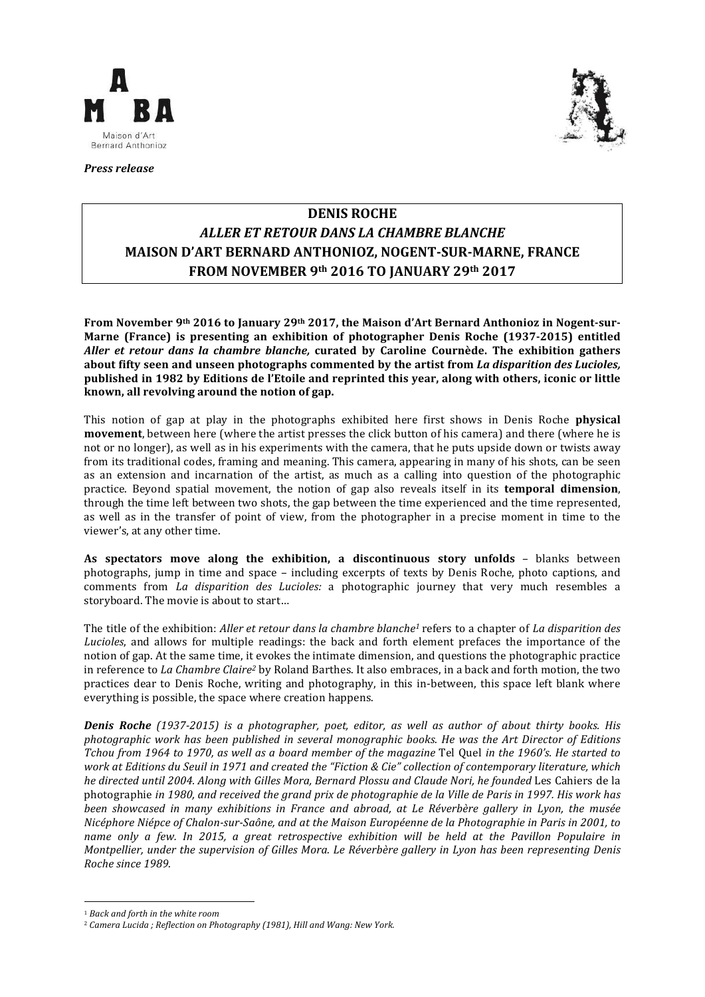

**Press release** 



# **DENIS ROCHE** ALLER ET RETOUR DANS LA CHAMBRE BLANCHE **MAISON D'ART BERNARD ANTHONIOZ, NOGENT-SUR-MARNE, FRANCE FROM NOVEMBER 9<sup>th</sup> 2016 TO JANUARY 29<sup>th</sup> 2017**

From November 9<sup>th</sup> 2016 to January 29<sup>th</sup> 2017, the Maison d'Art Bernard Anthonioz in Nogent-sur-Marne (France) is presenting an exhibition of photographer Denis Roche (1937-2015) entitled Aller et retour dans la chambre blanche, curated by Caroline Cournède. The exhibition gathers about fifty seen and unseen photographs commented by the artist from *La disparition des Lucioles*, published in 1982 by Editions de l'Etoile and reprinted this year, along with others, iconic or little known, all revolving around the notion of gap.

This notion of gap at play in the photographs exhibited here first shows in Denis Roche **physical movement**, between here (where the artist presses the click button of his camera) and there (where he is not or no longer), as well as in his experiments with the camera, that he puts upside down or twists away from its traditional codes, framing and meaning. This camera, appearing in many of his shots, can be seen as an extension and incarnation of the artist, as much as a calling into question of the photographic practice. Beyond spatial movement, the notion of gap also reveals itself in its **temporal dimension**. through the time left between two shots, the gap between the time experienced and the time represented, as well as in the transfer of point of view, from the photographer in a precise moment in time to the viewer's, at any other time.

As spectators move along the exhibition, a discontinuous story unfolds - blanks between photographs, jump in time and space - including excerpts of texts by Denis Roche, photo captions, and comments from *La disparition des Lucioles:* a photographic journey that very much resembles a storyboard. The movie is about to start...

The title of the exhibition: *Aller et retour dans la chambre blanche<sup>1</sup>* refers to a chapter of *La disparition des Lucioles*, and allows for multiple readings: the back and forth element prefaces the importance of the notion of gap. At the same time, it evokes the intimate dimension, and questions the photographic practice in reference to *La Chambre Claire<sup>2</sup>* by Roland Barthes. It also embraces, in a back and forth motion, the two practices dear to Denis Roche, writing and photography, in this in-between, this space left blank where everything is possible, the space where creation happens.

**Denis Roche** (1937-2015) is a photographer, poet, editor, as well as author of about thirty books. His photographic work has been published in several monographic books. He was the Art Director of Editions .<br>Tchou from 1964 to 1970, as well as a board member of the magazine Tel Quel in the 1960's. He started to work at Editions du Seuil in 1971 and created the "Fiction & Cie" collection of contemporary literature, which he directed until 2004. Along with Gilles Mora, Bernard Plossu and Claude Nori, he founded Les Cahiers de la photographie in 1980, and received the grand prix de photographie de la Ville de Paris in 1997. His work has been showcased in many exhibitions in France and abroad, at Le Réverbère gallery in Lyon, the musée Nicéphore Niépce of Chalon-sur-Saône, and at the Maison Européenne de la Photographie in Paris in 2001, to name only a few. In 2015, a great retrospective exhibition will be held at the Pavillon Populaire in Montpellier, under the supervision of Gilles Mora. Le Réverbère gallery in Lyon has been representing Denis Roche since 1989.

<sup>&</sup>lt;sup>1</sup> Back and forth in the white room

<sup>&</sup>lt;sup>2</sup> Camera Lucida ; Reflection on Photography (1981), Hill and Wang: New York.